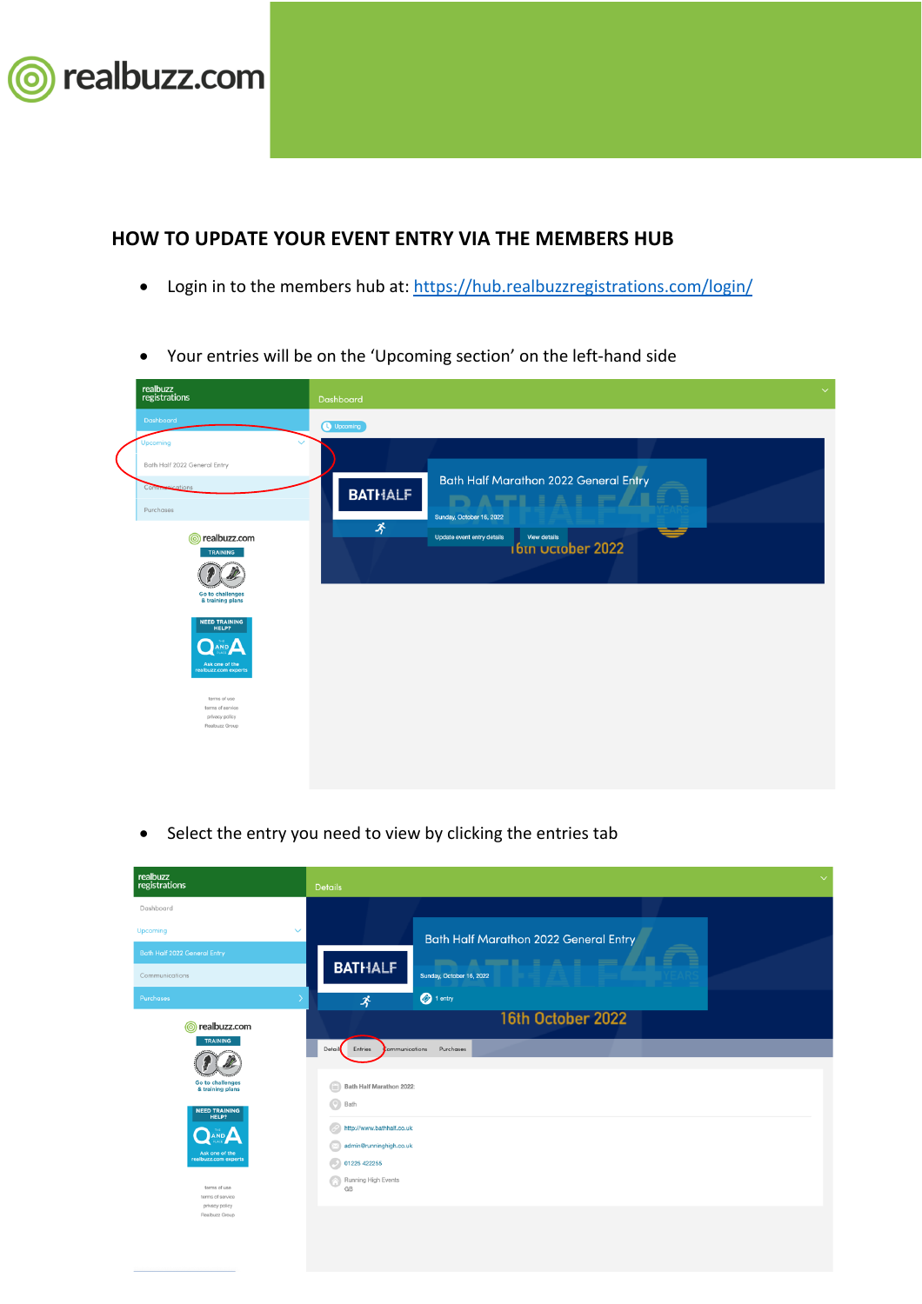

## **HOW TO UPDATE YOUR EVENT ENTRY VIA THE MEMBERS HUB**

- Login in to the members hub at: https://hub.realbuzzregistrations.com/login/
- Your entries will be on the 'Upcoming section' on the left-hand side

| realbuzz<br>registrations                | Dashboard                                                                     | $\checkmark$ |
|------------------------------------------|-------------------------------------------------------------------------------|--------------|
| Dashboard                                | Upcoming                                                                      |              |
| Upcoming<br>Bath Half 2022 General Entry |                                                                               |              |
| Communications                           | <b>Bath Half Marathon 2022 General Entry</b><br><b>BATHALF</b><br>DATILLE FAL |              |
| Purchases                                | Sunday, October 16, 2022                                                      |              |
| realbuzz.com<br>൫<br>TRAINING            | 矛<br>Update event entry details<br>View details<br>16th Uctober 2022          |              |
|                                          |                                                                               |              |
| Go to challenges<br>& training plans     |                                                                               |              |
| <b>NEED TRAINING</b><br><b>HELP?</b>     |                                                                               |              |
| Ask one of the<br>realbuzz.com experts   |                                                                               |              |
| terms of use                             |                                                                               |              |
| terms of service<br>privacy policy       |                                                                               |              |
| Realbuzz Group                           |                                                                               |              |
|                                          |                                                                               |              |
|                                          |                                                                               |              |

• Select the entry you need to view by clicking the entries tab

| realbuzz<br>registrations                                                                                                                                                                                                  | $\checkmark$<br><b>Details</b>                                                                                                                                                                                      |
|----------------------------------------------------------------------------------------------------------------------------------------------------------------------------------------------------------------------------|---------------------------------------------------------------------------------------------------------------------------------------------------------------------------------------------------------------------|
| Dashboard                                                                                                                                                                                                                  |                                                                                                                                                                                                                     |
| $\checkmark$<br>Upcoming                                                                                                                                                                                                   | <b>Bath Half Marathon 2022 General Entry</b>                                                                                                                                                                        |
| <b>Bath Half 2022 General Entry</b>                                                                                                                                                                                        | $\blacksquare$                                                                                                                                                                                                      |
| Communications                                                                                                                                                                                                             | <b>BATHALF</b><br>Sunday, October 16, 2022                                                                                                                                                                          |
| Purchases                                                                                                                                                                                                                  | $\bigcirc$ 1 entry<br>矛                                                                                                                                                                                             |
| realbuzz.com                                                                                                                                                                                                               | 16th October 2022                                                                                                                                                                                                   |
| <b>TRAINING</b><br>Go to challenges<br>& training plans<br><b>NEED TRAINING</b><br><b>HELP?</b><br>AND A<br>Ask one of the<br>realbuzz.com experts<br>terms of use<br>terms of service<br>privacy policy<br>Realbuzz Group | Purchases<br>Detail<br>Entries<br><b>Communications</b><br>Bath Half Marathon 2022:<br>m<br>$\bigcirc$<br>Bath<br>http://www.bathhalf.co.uk<br>admin@runninghigh.co.uk<br>01225 422255<br>Running High Events<br>GB |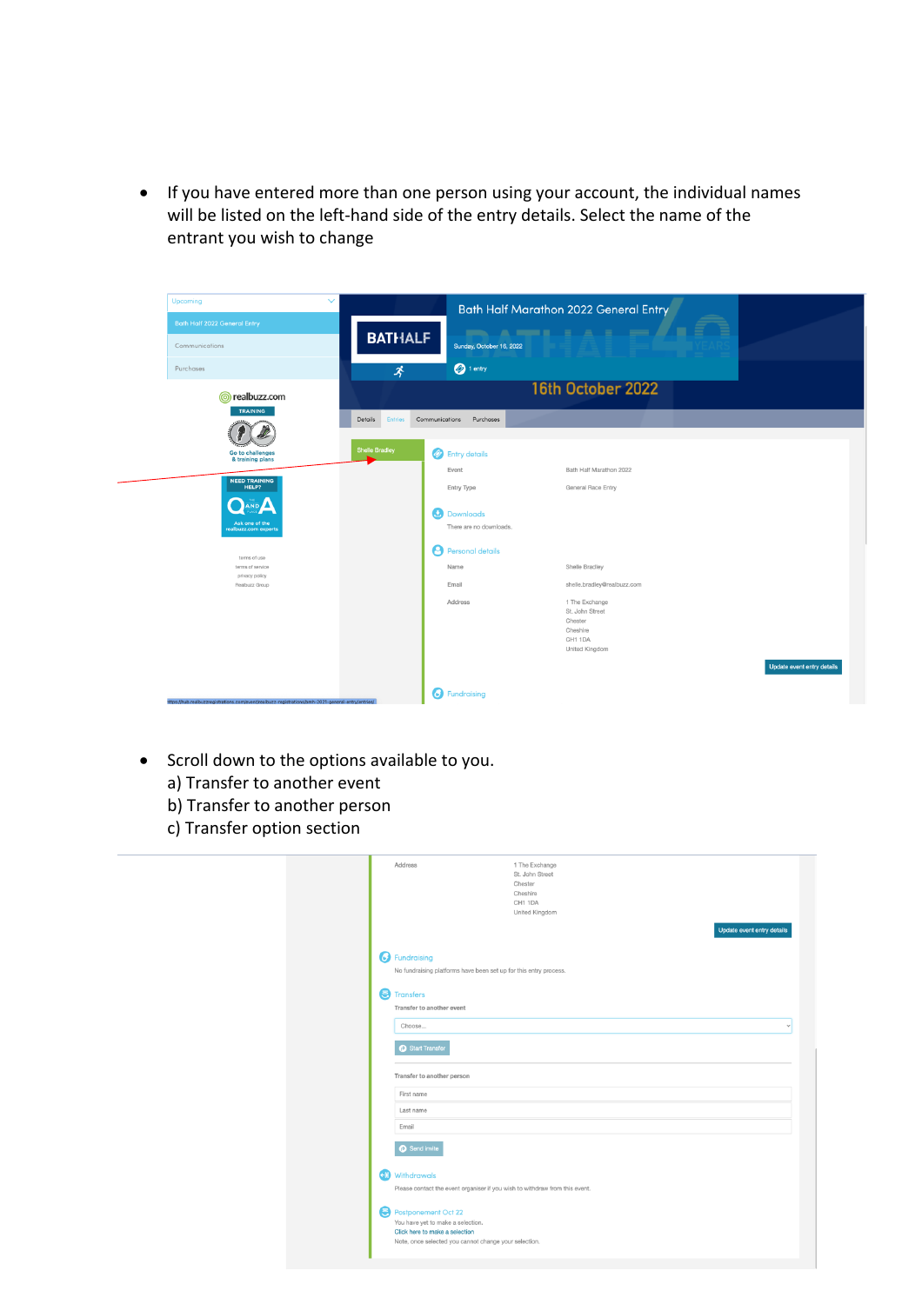• If you have entered more than one person using your account, the individual names will be listed on the left-hand side of the entry details. Select the name of the entrant you wish to change



- Scroll down to the options available to you.
	- a) Transfer to another event
	- b) Transfer to another person
	- c) Transfer option section

|   | Address                                                                     | 1 The Exchange<br>St. John Street<br>Chester<br>Cheshire<br>CH1 1DA<br>United Kingdom | Update event entry details |
|---|-----------------------------------------------------------------------------|---------------------------------------------------------------------------------------|----------------------------|
|   | <b>B</b> Fundraising                                                        |                                                                                       |                            |
|   | No fundraising platforms have been set up for this entry process.           |                                                                                       |                            |
| e | <b>Transfers</b>                                                            |                                                                                       |                            |
|   | Transfer to another event                                                   |                                                                                       |                            |
|   | Choose                                                                      |                                                                                       |                            |
|   | Start Transfer<br>Transfer to another person                                |                                                                                       |                            |
|   | First name                                                                  |                                                                                       |                            |
|   | Last name                                                                   |                                                                                       |                            |
|   | Email                                                                       |                                                                                       |                            |
|   | Send invite                                                                 |                                                                                       |                            |
| ബ | Withdrawals                                                                 |                                                                                       |                            |
|   | Please contact the event organiser if you wish to withdraw from this event. |                                                                                       |                            |
|   | Postponement Oct 22<br>You have yet to make a selection.                    |                                                                                       |                            |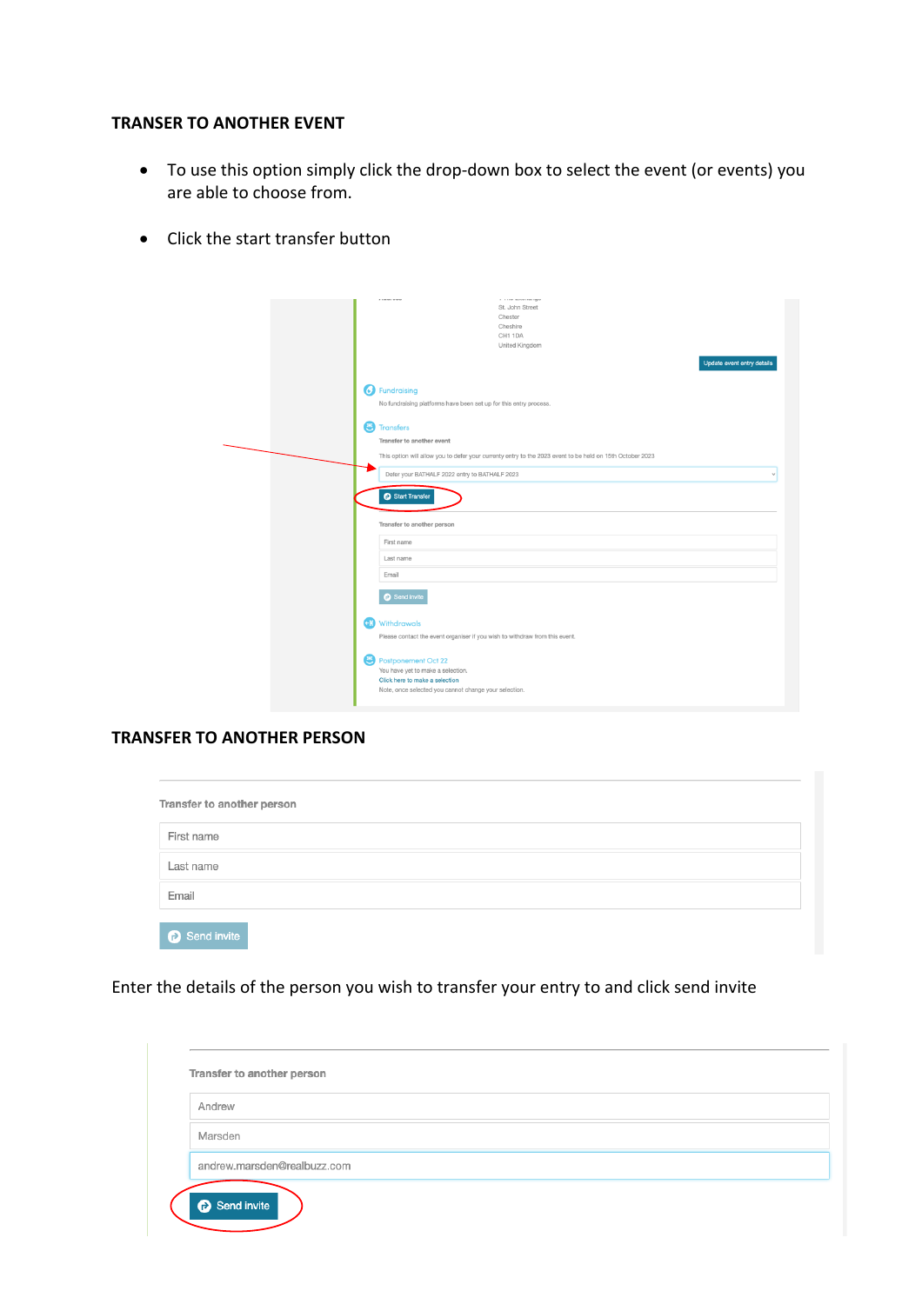## **TRANSER TO ANOTHER EVENT**

- To use this option simply click the drop-down box to select the event (or events) you are able to choose from.
- Click the start transfer button

| ---------<br>St. John Street<br>Chester<br>Cheshire<br>CH1 1DA<br>United Kingdom<br>Update event entry details                                      |  |
|-----------------------------------------------------------------------------------------------------------------------------------------------------|--|
| <b>B</b> Fundraising<br>No fundraising platforms have been set up for this entry process.                                                           |  |
| ε<br><b>Transfers</b><br>Transfer to another event                                                                                                  |  |
| This option will allow you to defer your currenty entry to the 2023 event to be held on 15th October 2023                                           |  |
| Defer your BATHALF 2022 entry to BATHALF 2023                                                                                                       |  |
| Start Transfer                                                                                                                                      |  |
| Transfer to another person                                                                                                                          |  |
| First name                                                                                                                                          |  |
| Last name                                                                                                                                           |  |
| Email                                                                                                                                               |  |
| Send invite                                                                                                                                         |  |
| Withdrawals<br>$\leftarrow$ [0]<br>Please contact the event organiser if you wish to withdraw from this event.                                      |  |
| Postponement Oct 22<br>You have yet to make a selection.<br>Click here to make a selection<br>Note, once selected you cannot change your selection. |  |

## **TRANSFER TO ANOTHER PERSON**

| Transfer to another person |  |  |  |  |
|----------------------------|--|--|--|--|
| First name                 |  |  |  |  |
| Last name                  |  |  |  |  |
| Email                      |  |  |  |  |
| Send invite                |  |  |  |  |

Enter the details of the person you wish to transfer your entry to and click send invite

| Andrew                      |  |  |
|-----------------------------|--|--|
| Marsden                     |  |  |
| andrew.marsden@realbuzz.com |  |  |